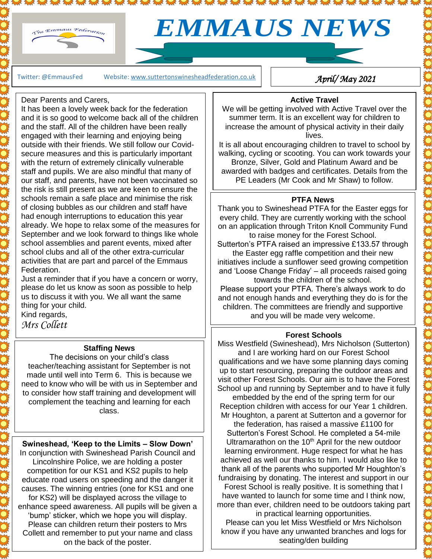

# *EMMAUS NEWS*

Twitter: @EmmausFed Website: www.suttertonswinesheadfederation.co.uk

*April/ May 2021* 

### Dear Parents and Carers,

It has been a lovely week back for the federation and it is so good to welcome back all of the children and the staff. All of the children have been really engaged with their learning and enjoying being outside with their friends. We still follow our Covidsecure measures and this is particularly important with the return of extremely clinically vulnerable staff and pupils. We are also mindful that many of our staff, and parents, have not been vaccinated so the risk is still present as we are keen to ensure the schools remain a safe place and minimise the risk of closing bubbles as our children and staff have had enough interruptions to education this year already. We hope to relax some of the measures for September and we look forward to things like whole school assemblies and parent events, mixed after school clubs and all of the other extra-curricular activities that are part and parcel of the Emmaus Federation.

 $2.005$   $2.005$   $2.005$   $2.00$ 

Just a reminder that if you have a concern or worry, please do let us know as soon as possible to help us to discuss it with you. We all want the same thing for your child.

Kind regards, *Mrs Collett*  $\overline{a}$ 

# **Staffing News**

The decisions on your child's class teacher/teaching assistant for September is not made until well into Term 6. This is because we need to know who will be with us in September and to consider how staff training and development will complement the teaching and learning for each class.

**Swineshead, 'Keep to the Limits – Slow Down'** In conjunction with Swineshead Parish Council and Lincolnshire Police, we are holding a poster competition for our KS1 and KS2 pupils to help educate road users on speeding and the danger it causes. The winning entries (one for KS1 and one for KS2) will be displayed across the village to enhance speed awareness. All pupils will be given a 'bump' sticker, which we hope you will display. Please can children return their posters to Mrs Collett and remember to put your name and class on the back of the poster.

## **Active Travel**

We will be getting involved with Active Travel over the summer term. It is an excellent way for children to increase the amount of physical activity in their daily lives.

It is all about encouraging children to travel to school by walking, cycling or scooting. You can work towards your Bronze, Silver, Gold and Platinum Award and be awarded with badges and certificates. Details from the PE Leaders (Mr Cook and Mr Shaw) to follow.

# **PTFA News**

Thank you to Swineshead PTFA for the Easter eggs for every child. They are currently working with the school on an application through Triton Knoll Community Fund to raise money for the Forest School.

Sutterton's PTFA raised an impressive £133.57 through the Easter egg raffle competition and their new initiatives include a sunflower seed growing competition and 'Loose Change Friday' – all proceeds raised going towards the children of the school.

Please support your PTFA. There's always work to do and not enough hands and everything they do is for the children. The committees are friendly and supportive and you will be made very welcome.

#### **Forest Schools**

Miss Westfield (Swineshead), Mrs Nicholson (Sutterton) and I are working hard on our Forest School qualifications and we have some planning days coming up to start resourcing, preparing the outdoor areas and visit other Forest Schools. Our aim is to have the Forest School up and running by September and to have it fully

embedded by the end of the spring term for our Reception children with access for our Year 1 children. Mr Houghton, a parent at Sutterton and a governor for

the federation, has raised a massive £1100 for Sutterton's Forest School. He completed a 54-mile Ultramarathon on the  $10<sup>th</sup>$  April for the new outdoor learning environment. Huge respect for what he has achieved as well our thanks to him. I would also like to thank all of the parents who supported Mr Houghton's fundraising by donating. The interest and support in our Forest School is really positive. It is something that I have wanted to launch for some time and I think now, more than ever, children need to be outdoors taking part

in practical learning opportunities. Please can you let Miss Westfield or Mrs Nicholson know if you have any unwanted branches and logs for seating/den building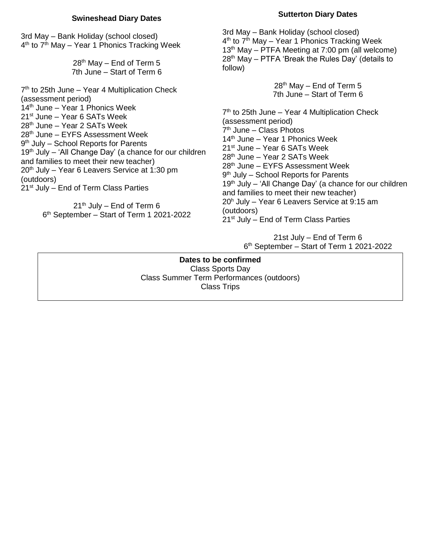#### **Swineshead Diary Dates**

3rd May – Bank Holiday (school closed) 4<sup>th</sup> to 7<sup>th</sup> May – Year 1 Phonics Tracking Week

> 28<sup>th</sup> May – End of Term 5 7th June – Start of Term 6

7<sup>th</sup> to 25th June – Year 4 Multiplication Check (assessment period) 14<sup>th</sup> June – Year 1 Phonics Week 21<sup>st</sup> June – Year 6 SATs Week 28th June – Year 2 SATs Week 28th June – EYFS Assessment Week 9<sup>th</sup> July – School Reports for Parents 19<sup>th</sup> July – 'All Change Day' (a chance for our children and families to meet their new teacher)  $20<sup>th</sup>$  July – Year 6 Leavers Service at 1:30 pm (outdoors)  $21<sup>st</sup>$  July – End of Term Class Parties

> $21<sup>th</sup>$  July – End of Term 6 6 th September – Start of Term 1 2021-2022

#### **Sutterton Diary Dates**

3rd May – Bank Holiday (school closed) 4<sup>th</sup> to 7<sup>th</sup> May – Year 1 Phonics Tracking Week  $13<sup>th</sup>$  May – PTFA Meeting at 7:00 pm (all welcome) 28<sup>th</sup> May – PTFA 'Break the Rules Day' (details to follow)

> 28 th May – End of Term 5 7th June – Start of Term 6

7<sup>th</sup> to 25th June – Year 4 Multiplication Check (assessment period) 7 th June – Class Photos 14<sup>th</sup> June – Year 1 Phonics Week 21<sup>st</sup> June – Year 6 SATs Week 28th June – Year 2 SATs Week 28th June – EYFS Assessment Week 9<sup>th</sup> July - School Reports for Parents 19<sup>th</sup> July – 'All Change Day' (a chance for our children and families to meet their new teacher) 20<sup>h</sup> July – Year 6 Leavers Service at 9:15 am (outdoors)  $21<sup>st</sup>$  July – End of Term Class Parties

> 21st July – End of Term 6 6 th September – Start of Term 1 2021-2022

**Dates to be confirmed** Class Sports Day Class Summer Term Performances (outdoors) Class Trips